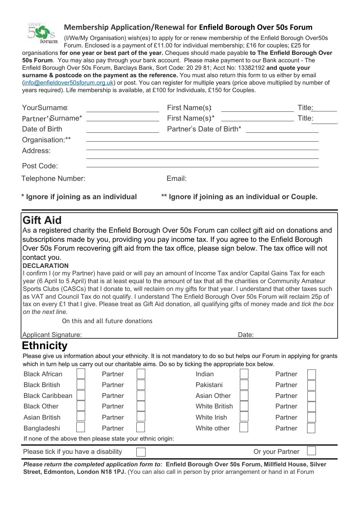

## **Membership Application/Renewal for Enfield Borough Over 50s Forum**

(I/We/My Organisation) wish(es) to apply for or renew membership of the Enfield Borough Over50s Forum. Enclosed is a payment of £11.00 for individual membership; £16 for couples; £25 for

organisations **for one year or best part of the year.** Cheques should made payable **to The Enfield Borough Over 50s Forum**. You may also pay through your bank account. Please make payment to our Bank account - The Enfield Borough Over 50s Forum, Barclays Bank, Sort Code: 20 29 81; Acct No: 13382192 **and quote your surname & postcode on the payment as the reference.** You must also return this form to us either by email [\(info@enfieldover50sforum.org.uk\)](mailto:info@enfieldover50sforum.org.uk) or post. You can register for multiple years (price above multiplied by number of years required). Life membership is available, at £100 for Individuals, £150 for Couples.

| YourSurname:                         | First Name(s) <u>_____________</u>                             | Title:                                           |  |
|--------------------------------------|----------------------------------------------------------------|--------------------------------------------------|--|
|                                      |                                                                |                                                  |  |
| Date of Birth                        |                                                                |                                                  |  |
| Organisation:**                      | <u> 1989 - Andrea Barbara, Amerikaansk politiker (d. 1989)</u> |                                                  |  |
| Address:                             |                                                                |                                                  |  |
| Post Code:                           |                                                                |                                                  |  |
| Telephone Number:                    | Email:                                                         |                                                  |  |
| * Ignore if joining as an individual |                                                                | ** Ignore if joining as an individual or Couple. |  |

## **Gift Aid**

As a registered charity the Enfield Borough Over 50s Forum can collect gift aid on donations and subscriptions made by you, providing you pay income tax. If you agree to the Enfield Borough Over 50s Forum recovering gift aid from the tax office, please sign below. The tax office will not contact you.

## **DECLARATION**

I confirm I (or my Partner) have paid or will pay an amount of Income Tax and/or Capital Gains Tax for each year (6 April to 5 April) that is at least equal to the amount of tax that all the charities or Community Amateur Sports Clubs (CASCs) that I donate to, will reclaim on my gifts for that year. I understand that other taxes such as VAT and Council Tax do not qualify. I understand The Enfield Borough Over 50s Forum will reclaim 25p of tax on every £1 that I give. Please treat as Gift Aid donation, all qualifying gifts of money made and *tick the box on the next line.*

On this and all future donations

Applicant Signature: **Date:** Date: Date: Date: Date: Date: Date: Date: Date: Date: Date: Date: Date: Date: Date: Date: Date: Date: Date: Date: Date: Date: Date: Date: Date: Date: Date: Date: Date: Date: Date: Date: Date: D

## **Ethnicity**

Please give us information about your ethnicity. It is not mandatory to do so but helps our Forum in applying for grants which in turn help us carry out our charitable aims. Do so by ticking the appropriate box below.

| <b>Black African</b>                                       | Partner | Indian               |  | Partner |  |
|------------------------------------------------------------|---------|----------------------|--|---------|--|
| <b>Black British</b>                                       | Partner | Pakistani            |  | Partner |  |
| <b>Black Caribbean</b>                                     | Partner | <b>Asian Other</b>   |  | Partner |  |
| <b>Black Other</b>                                         | Partner | <b>White British</b> |  | Partner |  |
| <b>Asian British</b>                                       | Partner | White Irish          |  | Partner |  |
| Bangladeshi                                                | Partner | White other          |  | Partner |  |
| If none of the above then please state your ethnic origin: |         |                      |  |         |  |
| Please tick if you have a disability<br>Or your Partner    |         |                      |  |         |  |

*Please return the completed application form to*: **Enfield Borough Over 50s Forum, Millfield House, Silver Street, Edmonton, London N18 1PJ.** (You can also call in person by prior arrangement or hand in at Forum